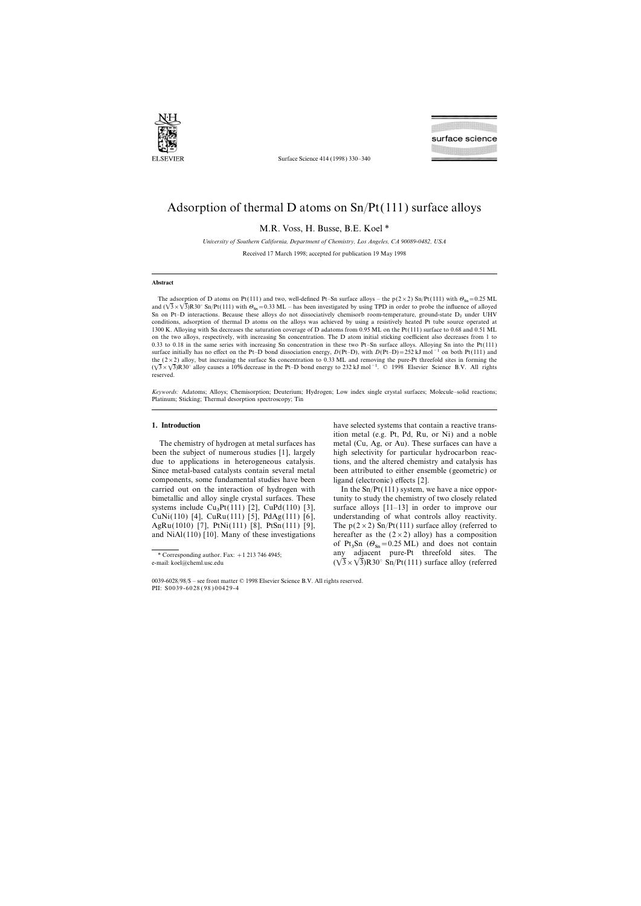

Surface Science 414 (1998) 330–340

## Adsorption of thermal D atoms on Sn/Pt(111) surface alloys

M.R. Voss, H. Busse, B.E. Koel \*

*Uni*v*ersity of Southern California, Department of Chemistry, Los Angeles, CA 90089-0482, USA* Received 17 March 1998; accepted for publication 19 May 1998

### **Abstract**

The adsorption of D atoms on Pt(111) and two, well-defined Pt–Sn surface alloys – the p(2×2) Sn/Pt(111) with  $\Theta_{\text{Sn}}=0.25$  ML and  $(\sqrt{3} \times \sqrt{3})R30^\circ$  Sn/Pt(111) with  $\Theta_{\text{Sn}}=0.33$  ML – has been investigated by using TPD in order to probe the influence of alloyed Sn on Pt–D interactions. Because these alloys do not dissociatively chemisorb room-temperature, ground-state  $D_2$  under UHV conditions, adsorption of thermal D atoms on the alloys was achieved by using a resistively heated Pt tube source operated at 1300 K. Alloying with Sn decreases the saturation coverage of D adatoms from 0.95 ML on the Pt(111) surface to 0.68 and 0.51 ML on the two alloys, respectively, with increasing Sn concentration. The D atom initial sticking coefficient also decreases from 1 to 0.33 to 0.18 in the same series with increasing Sn concentration in these two Pt–Sn surface alloys. Alloying Sn into the Pt(111) surface initially has no effect on the Pt–D bond dissociation energy, *D*(Pt–D), with *D*(Pt–D)=252 kJ mol<sup>-1</sup> on both Pt(111) and the  $(2\times2)$  alloy, but increasing the surface Sn concentration to 0.33 ML and removing the pure-Pt threefold sites in forming the  $(\sqrt{3} \times \sqrt{3})R30^\circ$  alloy causes a 10% decrease in the Pt–D bond energy to 232 kJ mol<sup>-1</sup>. © 1998 Elsevier Science B.V. All rights reserved.

*Keywords:* Adatoms; Alloys; Chemisorption; Deuterium; Hydrogen; Low index single crystal surfaces; Molecule–solid reactions; Platinum; Sticking; Thermal desorption spectroscopy; Tin

been the subject of numerous studies [1], largely high selectivity for particular hydrocarbon reacdue to applications in heterogeneous catalysis. tions, and the altered chemistry and catalysis has Since metal-based catalysts contain several metal been attributed to either ensemble (geometric) or components, some fundamental studies have been ligand (electronic) effects [2]. carried out on the interaction of hydrogen with In the  $\text{Sn/Pt}(111)$  system, we have a nice opporsystems include  $Cu<sub>3</sub>Pt(111)$  [2],  $CuPd(110)$  [3],

**1. Introduction** have selected systems that contain a reactive transition metal (e.g. Pt, Pd, Ru, or Ni) and a noble The chemistry of hydrogen at metal surfaces has metal (Cu, Ag, or Au). These surfaces can have a

bimetallic and alloy single crystal surfaces. These tunity to study the chemistry of two closely related surface alloys  $[11-13]$  in order to improve our CuNi(110) [4], CuRu(111) [5], PdAg(111) [6], understanding of what controls alloy reactivity. AgRu(1010) [7], PtNi(111) [8], PtSn(111) [9], The  $p(2 \times 2)$  Sn/Pt(111) surface alloy (referred to and NiAl(110) [10]. Many of these investigations hereafter as the  $(2 \times 2)$  alloy) has a composition of  $Pt_3Sn$  ( $\Theta_{Sn}$ =0.25 ML) and does not contain \* Corresponding author. Fax:  $+1$  213 746 4945; any adjacent pure-Pt threefold sites. The e-mail: koel@cheml.usc.edu  $(\sqrt{3} \times \sqrt{3})R30^\circ$  Sn/Pt(111) surface alloy (referred

<sup>0039-6028</sup>/98/\$ – see front matter © 1998 Elsevier Science B.V. All rights reserved. PII: S0039-6028 ( 98 ) 00429-4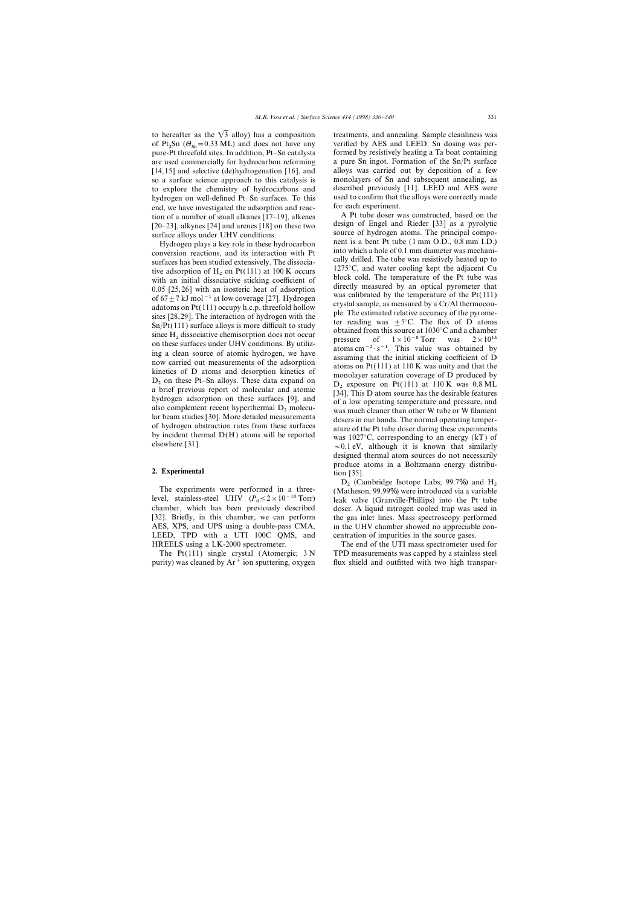to hereafter as the  $\sqrt{3}$  alloy) has a composition treatments, and annealing. Sample cleanliness was hydrogen on well-defined Pt–Sn surfaces. To this used to confirm that end we have investigated the adsorption and reaction for each experiment. end, we have investigated the adsorption and reac-<br>tion of a number of small alkanes [17-19] alkenes A Pt tube doser was constructed, based on the tion of a number of small alkanes [17–19], alkenes  $\overline{A}$  Pt tube doser was constructed, based on the tion of  $\overline{A}$  Pt  $\overline{C}$  and  $\overline{A}$  alkynes [24] and arenes [18] on these two design of Engel and Rieder [33] a [20–23], alkynes [24] and arenes [18] on these two design of Engel and Rieder [33] as a pyrolytic surface alloys under UHV conditions.

conversion reactions, and its interaction with Pt<br>surfaces has been studied extensively. The dissocia-<br>tive adsorption of H<sub>2</sub> on Pt(111) at 100 K occurs<br>with an initial dissociative sticking coefficient of<br>with an initia 0.05 [25,26] with an isosteric heat of adsorption<br>
or  $6.7\pm7$  kJ mol<sup>-1</sup> at low coverage [27]. Hydrogen<br>
or  $6.7\pm7$  kJ mol<sup>-1</sup> at low coverage [27]. Hydrogen<br>
adatoms on Pt(111) occupy h.c.p. threefold hollow<br>
sixter an

## **2. Experimental** tion [35].

level, stainless-steel UHV  $(P_0 \le 2 \times 10^{-10} \text{ Torr})$ chamber, which has been previously described doser. A liquid nitrogen cooled trap was used in [32]. Briefly, in this chamber, we can perform the gas inlet lines. Mass spectroscopy performed AES, XPS, and UPS using a double-pass CMA, in the UHV chamber showed no appreciable con-LEED, TPD with a UTI 100C QMS, and centration of impurities in the source gases. HREELS using a LK-2000 spectrometer. The end of the UTI mass spectrometer used for

purity) was cleaned by  $Ar^+$  ion sputtering, oxygen flux shield and outfitted with two high transpar-

of Pt<sub>2</sub>Sn ( $\Theta_{\text{Sn}} = 0.33$  ML) and does not have any verified by AES and LEED. Sn dosing was per-<br>nume Rt threafeld sites In addition Bt. Sn establists formed by resistively beginn a To boat containing pure-Pt threefold sites. In addition, Pt–Sn catalysts formed by resistively heating a Ta boat containing are used commercially for hydrocarbon reforming a pure Sn ingot. Formation of the Sn/Pt surface [14,15] and selective (de)hydrogenation [16], and alloys was carried out by deposition of a few so a surface science approach to this catalysis is monolayers of Sn and subsequent annealing, as<br>to explore the chemistry of hydrocarbons and described previously [11]. LEED and AES were to explore the chemistry of hydrocarbons and described previously [11]. LEED and AES were<br>hydrogen on well-defined Pt–Sn surfaces To this used to confirm that the alloys were correctly made

Hydrogen plays a key role in these hydrocarbon nent is a bent Pt tube (1 mm O.D., 0.8 mm I.D.)<br>nuversion reactions, and its interaction with Pt into which a hole of 0.1 mm diameter was mechanialso complement recent nyperthermal  $D_2$  molecu-<br>lar beam studies [30]. More detailed measurements<br>of hydrogen abstraction rates from these surfaces<br>by incident thermal  $D(H)$  atoms will be reported<br>experiments<br>was 1027°C designed thermal atom sources do not necessarily produce atoms in a Boltzmann energy distribu-

 $D_2$  (Cambridge Isotope Labs; 99.7%) and H<sub>2</sub><br>(Matheson; 99.99%) were introduced via a variable leak valve (Granville-Phillips) into the Pt tube in the UHV chamber showed no appreciable con-

The Pt(111) single crystal (Atomergic;  $3 N$  TPD measurements was capped by a stainless steel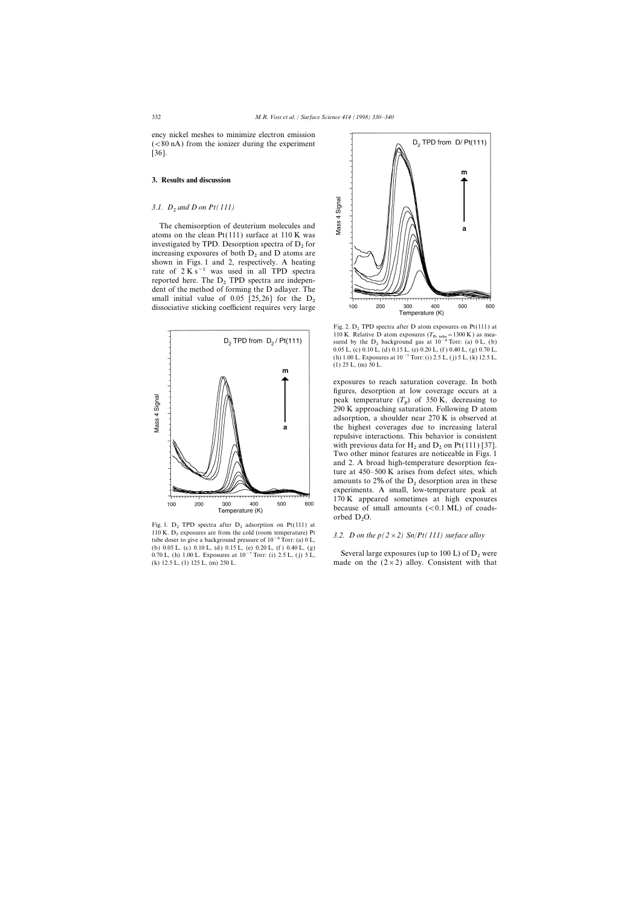ency nickel meshes to minimize electron emission  $(< 80 \text{ nA})$  from the ionizer during the experiment [36].

## **3. Results and discussion**

## *3.1. D*<sup>2</sup> *and D on Pt(111)*

The chemisorption of deuterium molecules and atoms on the clean  $Pt(111)$  surface at  $110 K$  was investigated by TPD. Desorption spectra of  $D_2$  for increasing exposures of both  $D_2$  and D atoms are shown in Figs. 1 and 2, respectively. A heating rate of  $2 K s^{-1}$  was used in all TPD spectra reported here. The  $D_2$  TPD spectra are independent of the method of forming the D adlayer. The small initial value of 0.05 [25,26] for the  $D_2$  dissociative sticking coefficient requires very large



Fig. 1.  $D_2$  TPD spectra after  $D_2$  adsorption on Pt(111) at 110 K.  $D_2$  exposures are from the cold (room temperature) Pt 110 K. D<sup>2</sup> exposures are from the cold (room temperature) Pt *3.2. D on the p(2*×*2) Sn*/*Pt(111) surface alloy* tube doser to give a background pressure of 10−<sup>8</sup> Torr: (a) 0 L, (b) 0.05 L, (c) 0.10 L, (d) 0.15 L, (e) 0.20 L, (f ) 0.40 L, (g) 0.70 L, (h) 1.00 L. Exposures at  $10^{-7}$  Torr: (i) 2.5 L, (j) 5 L, Several large exposures (up to 100 L) of D<sub>2</sub> were (k) 12.5 L, (l) 125 L, (m) 250 L.



Fig. 2.  $D_2$  TPD spectra after D atom exposures on Pt(111) at 110 K. Relative D atom exposures  $(T_{\text{Pt tube}} = 1300 \text{ K})$  as measured by the D<sub>2</sub> background gas at  $10^{-8}$  Torr: (a) 0 L, (b) 0.0 L, (c) 0.0 L, (c) 0.70 L 0.05 L, (c) 0.10 L, (d) 0.15 L, (e) 0.20 L, (f ) 0.40 L, (g) 0.70 L, (h) 1.00 L. Exposures at 10−7 Torr: (i) 2.5 L, ( j) 5 L, (k) 12.5 L,  $(1)$  25 L,  $(m)$  50 L.

exposures to reach saturation coverage. In both figures, desorption at low coverage occurs at a peak temperature  $(T_p)$  of 350 K, decreasing to<br>200 K approaching seturation Fallowing D atom 290 K approaching saturation. Following D atom adsorption, a shoulder near 270 K is observed at the highest coverages due to increasing lateral repulsive interactions. This behavior is consistent with previous data for H<sub>2</sub> and D<sub>2</sub> on Pt(111) [37]. Two other minor features are noticeable in Figs. 1 and 2. A broad high-temperature desorption feature at 450–500 K arises from defect sites, which amounts to 2% of the  $D<sub>2</sub>$  desorption area in these experiments. A small, low-temperature peak at 170 K appeared sometimes at high exposures because of small amounts  $( $0.1$  ML) of coads$ orbed  $D_2O$ .

made on the  $(2\times2)$  alloy. Consistent with that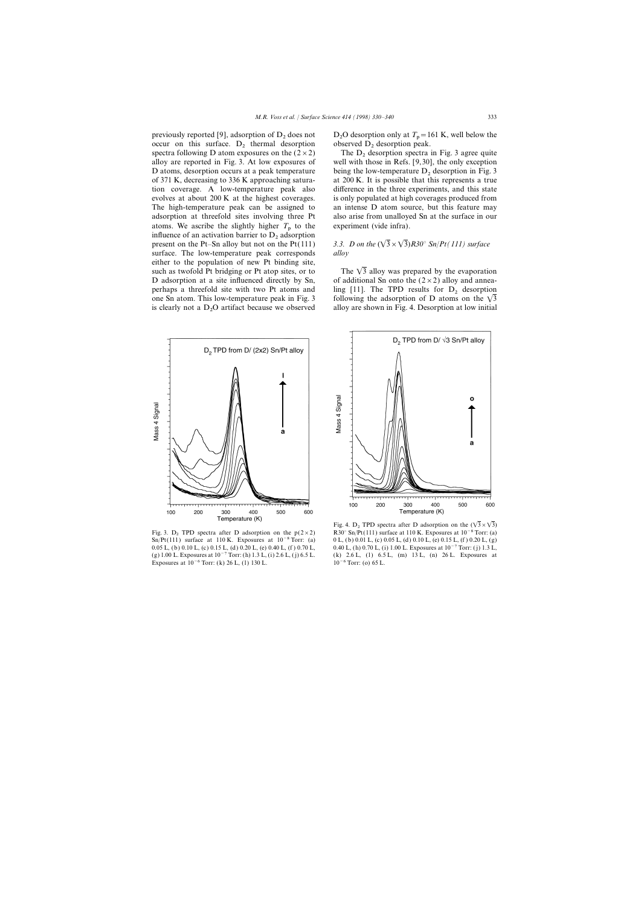previously reported [9], adsorption of  $D_2$  does not  $D_2O$  desorption only at  $T_p = 1$  occur on this surface.  $D_2$  thermal desorption observed  $D_2$  desorption peak. occur on this surface.  $D_2$  thermal desorption observed  $D_2$  desorption peak.<br>spectra following D atom exposures on the  $(2 \times 2)$  The  $D_2$  desorption spectra in Fig. 3 agree quite spectra following D atom exposures on the  $(2 \times 2)$  alloy are reported in Fig. 3. At low exposures of D atoms, desorption occurs at a peak temperature being the low-temperature  $D_2$  desorption in Fig. 3 of 371 K, decreasing to 336 K approaching satura at 200 K. It is possible that this represents a true tion coverage. A low-temperature peak also difference in the three experiments, and this state evolves at about 200 K at the highest coverages. is only populated at high coverages produced from The high-temperature peak can be assigned to an intense D atom source, but this feature may adsorption at threefold sites involving three Pt also arise from unalloyed Sn at the surface in our atoms. We ascribe the slightly higher  $T<sub>p</sub>$  to the experiment (vide infra). influence of an activation barrier to  $D_2$  adsorption<br>present on the Pt-Sn alloy but not on the Pt(111) surface. The low-temperature peak corresponds *alloy* either to the population of new Pt binding site, such as twofold Pt bridging or Pt atop sites, or to The  $\sqrt{3}$  alloy was prepared by the evaporation D adsorption at a site influenced directly by Sn, of additional Sn onto the  $(2 \times 2)$  alloy and anneaperhaps a threefold site with two Pt atoms and ling [11]. The TPD results for  $D_2$  desorption one Sn atom. This low-temperature peak in Fig. 3 following the adsorption of D atoms on the  $\sqrt{3}$ is clearly not a  $D_2O$  artifact because we observed



0.05 L, (b) 0.10 L, (c) 0.15 L, (d) 0.20 L, (e) 0.40 L, (f) 0.70 L, (b) 0.70 L, (i) 1.00 L. Exposures at 10<sup>-7</sup> Torr: (j) 1.3 L, (g) 1.00 L. Exposures at 10<sup>-7</sup> Torr: (j) 1.3 L, (g) 1.00 L. Exposures at 10<sup>-7</sup> Torr: (h) 1 Exposures at  $10^{-6}$  Torr: (k) 26 L, (1) 130 L.

O desorption only at  $T_p = 161$  K, well below the

well with those in Refs. [9,30], the only exception at 200 K. It is possible that this represents a true

# 3.3. D on the  $(\sqrt{3} \times \sqrt{3})R30^\circ$  *Sn*/*Pt(111) surface*

following the adsorption of D atoms on the  $\sqrt{3}$ alloy are shown in Fig. 4. Desorption at low initial



Fig. 4. D<sub>2</sub> TPD spectra after D adsorption on the  $(\sqrt{3} \times \sqrt{3})$ Fig. 3. D<sub>2</sub> TPD spectra after D adsorption on the p(2×2) R30° Sn/Pt(111) surface at 110 K. Exposures at 10<sup>-8</sup> Torr: (a) Sn/Pt(111) surface at 110 K. Exposures at 10<sup>-8</sup> Torr: (a) 0.10 L, (c) 0.05 L, (d) 0.10 L, (e) 0.15 0 L, (b) 0.01 L, (c) 0.05 L, (d) 0.10 L, (e) 0.15 L, (f) 0.20 L, (g) (k) 2.6 L, (l) 6.5 L, (m) 13 L, (n) 26 L. Exposures at 10<sup>-6</sup> Torr: (o) 65 L.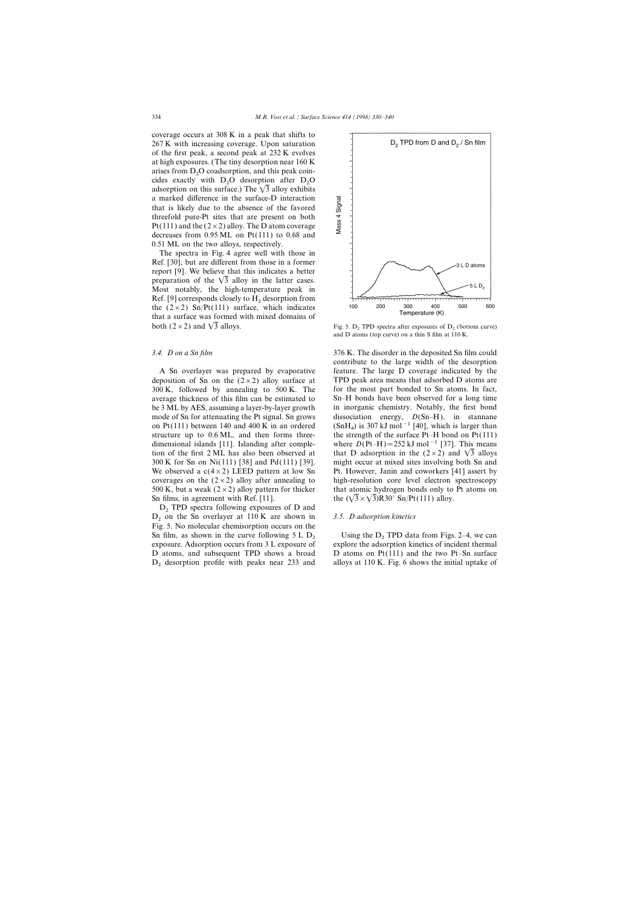coverage occurs at 308 K in a peak that shifts to 267 K with increasing coverage. Upon saturation of the first peak, a second peak at 232 K evolves at high exposures. (The tiny desorption near 160 K arises from  $D_2O$  coadsorption, and this peak coin-<br>aides, exectly, with  $D_2O$  decention, efter  $D_2O$ cides exactly with  $D_2O$  desorption after  $D_2O$ adsorption on this surface.) The  $\sqrt{3}$  alloy exhibits a marked difference in the surface-D interaction that is likely due to the absence of the favored threefold pure-Pt sites that are present on both Pt(111) and the  $(2 \times 2)$  alloy. The D atom coverage decreases from 0.95 ML on Pt(111) to 0.68 and 0.51 ML on the two alloys, respectively.

The spectra in Fig. 4 agree well with those in Ref. [30], but are different from those in a former report [9]. We believe that this indicates a better preparation of the  $\sqrt{3}$  alloy in the latter cases. Most notably, the high-temperature peak in Ref. [9] corresponds closely to  $H_2$  desorption from the  $(2 \times 2)$  Sn/Pt(111) surface, which indicates that a surface was formed with mixed domains of both (2 × 2) and  $\sqrt{3}$  alloys. Fig. 5. D<sub>2</sub> TPD spectra after exposures of D<sub>2</sub> (bottom curve)

deposition of Sn on the  $(2\times2)$  alloy surface at TPD peak area means that adsorbed D atoms are 300 K, followed by annealing to 500 K. The for the most part bonded to Sn atoms. In fact, average thickness of this film can be estimated to Sn–H bonds have been observed for a long time be 3 ML by AES, assuming a layer-by-layer growth in inorganic chemistry. Notably, the first bond mode of Sn for attenuating the Pt signal. Sn grows dissociation energy,  $D(Sn-H)$ , in stannane on Pt(111) between 140 and 400 K in an ordered (SnH<sub>4</sub>) is 307 kJ mol<sup>-1</sup> [40], which is larger than structure up to 0.6 ML, and then forms three-<br>the strength of the surface Pt–H bond on Pt(111) dimensional islands [11]. Islanding after comple- where *D*(Pt–H)=252 kJ mol−1 [37]. This means tion of the first 2 ML has also been observed at that D adsorption in the (2  $\times$  2) and  $\sqrt{3}$  alloys 300 K for Sn on Ni(111) [38] and Pd(111) [39]. might occur at mixed sites involving both Sn and We observed a  $c(4\times2)$  LEED pattern at low Sn Pt. However, Janin and coworkers [41] assert by coverages on the  $(2\times2)$  alloy after annealing to high-resolution core level electron spectroscopy 500 K, but a weak  $(2 \times 2)$  alloy pattern for thicker that atomic hydrogen bonds only to Pt atoms on Sn films, in agreement with Ref. [11]. the  $(\sqrt{3} \times \sqrt{3})R30^\circ$  Sn/Pt(111) alloy.

 $D_2$  TPD spectra following exposures of D and <sup>D</sup><sup>2</sup> on the Sn overlayer at 110 K are shown in *3.5. D adsorption kinetics* Fig. 5. No molecular chemisorption occurs on the Sn film, as shown in the curve following  $5 L D_2$  Using the  $D_2$  TPD data from Figs. 2–4, we can exposure. Adsorption occurs from 3 L exposure of explore the adsorption kinetics of incident thermal  $D_2$  desorption profile with peaks near 233 and alloys at 110 K. Fig. 6 shows the initial uptake of



and D atoms (top curve) on a thin S film at 110 K.

*3.4. D on a Sn film* 376 K. The disorder in the deposited Sn film could contribute to the large width of the desorption A Sn overlayer was prepared by evaporative feature. The large D coverage indicated by the the strength of the surface Pt–H bond on Pt $(111)$ 

explore the adsorption kinetics of incident thermal D atoms, and subsequent TPD shows a broad D atoms on Pt(111) and the two Pt–Sn surface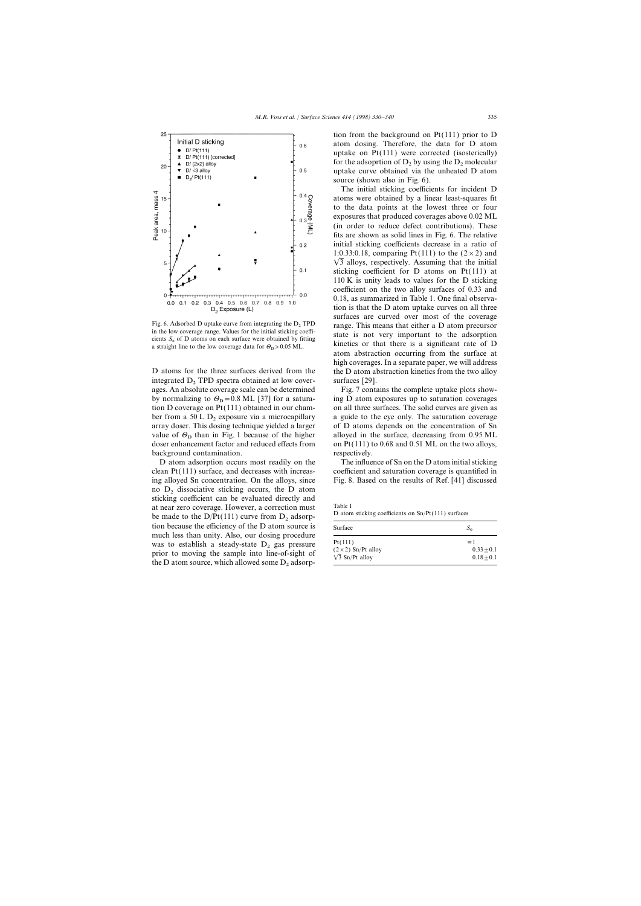

a straight line to the low coverage data for  $\theta_{\rm D}$  > 0.05 ML.

integrated  $D_2$  TPD spectra obtained at low cover-<br>ages. An absolute coverage scale can be determined Fig. 7 contains the complete uptake plots showages. An absolute coverage scale can be determined by normalizing to  $\theta_{\text{D}}$  = 0.8 ML [37] for a saturabackground contamination. The respectively.

clean Pt(111) surface, and decreases with increas- coefficient and saturation coverage is quantified in ing alloyed Sn concentration. On the alloys, since Fig. 8. Based on the results of Ref. [41] discussed no  $D_2$  dissociative sticking occurs, the D atom sticking coefficient can be evaluated directly and at near zero coverage. However, a correction must<br>be made to the D/Pt(111) curve from  $D_2$  adsorp-<br>tion because the efficiency of the D atom source is<br>surface much less than unity. Also, our dosing procedure was to establish a steady-state  $D_2$  gas pressure prior to moving the sample into line-of-sight of the D atom source, which allowed some  $D_2$  adsorp-

tion from the background on Pt(111) prior to D atom dosing. Therefore, the data for D atom uptake on Pt(111) were corrected (isosterically) for the adsoprtion of  $D_2$  by using the  $D_2$  molecular uptake curve obtained via the unheated D atom source (shown also in Fig. 6).

The initial sticking coefficients for incident D atoms were obtained by a linear least-squares fit to the data points at the lowest three or four exposures that produced coverages above 0.02 ML (in order to reduce defect contributions). These fits are shown as solid lines in Fig. 6. The relative initial sticking coefficients decrease in a ratio of 1:0.33:0.18, comparing Pt(111) to the  $(2 \times 2)$  and  $\sqrt{3}$  alloys, respectively. Assuming that the initial sticking coefficient for D atoms on Pt(111) at 110 K is unity leads to values for the D sticking coefficient on the two alloy surfaces of 0.33 and 0.18, as summarized in Table 1. One final observation is that the D atom uptake curves on all three surfaces are curved over most of the coverage Fig. 6. Adsorbed D uptake curve from integrating the  $D_2$  TPD<br>in the low coverage range. Values for the initial sticking coeffi-<br>cients  $S_0$  of D atoms on each surface were obtained by fitting state is not very importan kinetics or that there is a significant rate of D atom abstraction occurring from the surface at high coverages. In a separate paper, we will address D atoms for the three surfaces derived from the the D atom abstraction kinetics from the two alloy

ing D atom exposures up to saturation coverages tion D coverage on Pt(111) obtained in our cham- on all three surfaces. The solid curves are given as ber from a 50 L  $D_2$  exposure via a microcapillary a guide to the eye only. The saturation coverage array doser. This dosing technique yielded a larger of  $D$  atoms depends on the concentration of  $S$ n of D atoms depends on the concentration of Sn value of  $\Theta_{\rm D}$  than in Fig. 1 because of the higher alloyed in the surface, decreasing from 0.95 ML doser enhancement factor and reduced effects from on Pt(111) to 0.68 and 0.51 ML on the two alloys, on  $Pt(111)$  to 0.68 and 0.51 ML on the two alloys,

D atom adsorption occurs most readily on the The influence of Sn on the D atom initial sticking

| Surface                    | $S_0$        |  |
|----------------------------|--------------|--|
| Pt(111)                    | $=1$         |  |
| $(2 \times 2)$ Sn/Pt alloy | $0.33 + 0.1$ |  |
| $\sqrt{3}$ Sn/Pt alloy     | $0.18 + 0.1$ |  |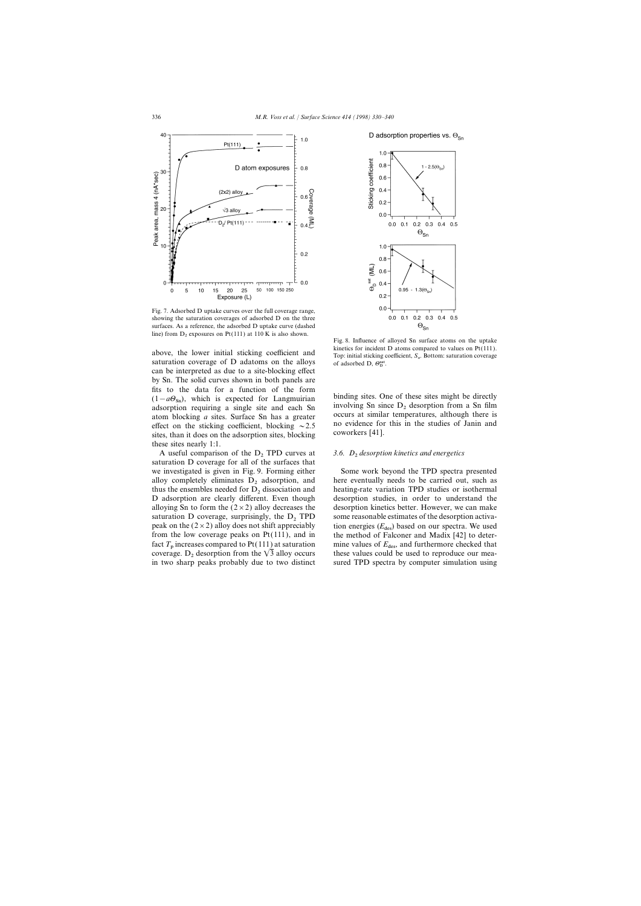

Fig. 7. Adsorbed D uptake curves over the full coverage range, showing the saturation coverages of adsorbed D on the three surfaces. As a reference, the adsorbed D uptake curve (dashed line) from  $D_2$  exposures on Pt(111) at 110 K is also shown.

saturation coverage of D adatoms on the alloys of adsorbed D,  $\Theta_{\rm D}^{\rm sat}$ . can be interpreted as due to a site-blocking effect by Sn. The solid curves shown in both panels are fits to the data for a function of the form  $(1-a\Theta_{\text{sn}})$ , which is expected for Langmuirian involving sites. One of these sites might be directly adsorption requiring a single site and each Sn involving Sn since D<sub>2</sub> desorption from a Sn film atom blocking *a* si sites, than it does on the adsorption sites, blocking these sites nearly 1:1.

A useful comparison of the D<sub>2</sub> TPD curves at *3.6. D<sub>2</sub> desorption kinetics and energetics* saturation D coverage for all of the surfaces that we investigated is given in Fig. 9. Forming either Some work beyond the TPD spectra presented D adsorption are clearly different. Even though



Fig. 8. Influence of alloyed Sn surface atoms on the uptake above, the lower initial sticking coefficient and  $\frac{\text{kinetics for incident D atoms compared to values on Pt(111).}}{\text{Top: initial sticking coefficient, } S_0$ . Bottom: saturation coverage

effect on the sticking coefficient, blocking  $\sim 2.5$  no evidence for this in the studies of Janin and sites than it does on the adsorption sites blocking coworkers [41].

alloy completely eliminates  $D_2$  adsorption, and here eventually needs to be carried out, such as thus the ensembles needed for  $D_2$  dissociation and heating-rate variation TPD studies or isothermal heating-rate variation TPD studies or isothermal desorption studies, in order to understand the alloying Sn to form the  $(2\times2)$  alloy decreases the desorption kinetics better. However, we can make saturation D coverage, surprisingly, the  $D_2$  TPD some reasonable estimates of the desorption activa-<br>peak on the  $(2 \times 2)$  alloy does not shift appreciably tion energies ( $E_{des}$ ) based on our spectra. We used peak on the ( $2 \times 2$ ) alloy does not shift appreciably tion energies ( $E_{\text{des}}$ ) based on our spectra. We used from the low coverage peaks on Pt(111), and in the method of Falconer and Madix [42] to deterthe method of Falconer and Madix [42] to deterfact  $T_p$  increases compared to Pt(111) at saturation mine values of  $E_{\text{des}}$ , and furthermore checked that coverage. D<sub>2</sub> desorption from the  $\sqrt{3}$  alloy occurs these values could be used to reproduce our meacoverage. D<sub>2</sub> desorption from the  $\sqrt{3}$  alloy occurs these values could be used to reproduce our mea-<br>in two sharp peaks probably due to two distinct sured TPD spectra by computer simulation using sured TPD spectra by computer simulation using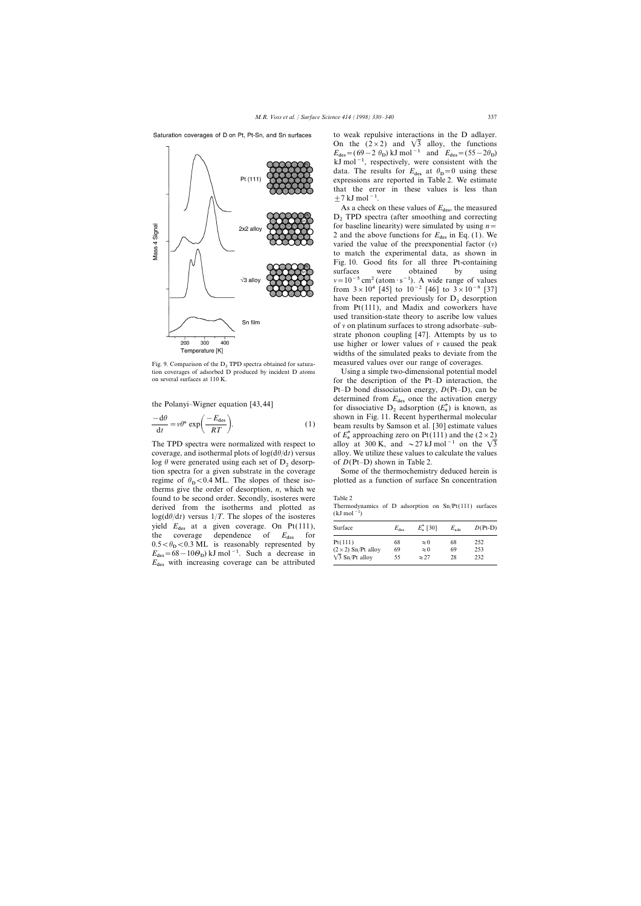Saturation coverages of D on Pt, Pt-Sn, and Sn surfaces



Fig. 9. Comparison of the D<sub>2</sub> TPD spectra obtained for satura-<br> **Example 19 TPD** spectra obtained for satura-<br> **Example 19 TPD** spectra obtained by incident D atoms<br>
Using a simple two-dimensional potential m

$$
\frac{-d\theta}{dt} = v\theta^n \exp\left(\frac{-E_{\text{des}}}{RT}\right).
$$
 (1)

coverage, and isothermal plots of  $log(d\theta/dt)$  versus alloy. We utilize these values to calculate the values log  $\theta$  were generated using each set of  $D_2$  desorp-<br>tion spectra for a given substrate in the coverage<br>Some of the thermochemistry deduced herein is tion spectra for a given substrate in the coverage regime of  $\theta_{\rm p}$  < 0.4 ML. The slopes of these isotherms give the order of desorption,  $n$ , which we found to be second order. Secondly, isosteres were Table 2<br>derived from the isotherms and plotted as Thermodynamics of D adsorption on Sn/Pt(111) surfaces derived from the isotherms and plotted as  $\log(d\theta/dt)$  versus 1/*T*. The slopes of the isosteres  $(kJ \text{ mol}^{-1})$ yield  $E_{\text{des}}$  at a given coverage. On Pt(111), the coverage dependence of  $E_{\text{des}}$  for the coverage dependence of  $E_{\text{des}}$  for  $\overline{P_{\text{t}}(111)}$  68  $\approx 0$  68 252<br>0.5  $\lt \theta_{\text{D}} \lt 0.3$  ML is reasonably represented by  $\overline{P_{\text{t}}(111)}$  68  $\approx 0$  68 252  $E_{\text{des}} = 68 - 10\Theta_{\text{D}}$  kJ mol<sup>−1</sup>. Such a decrease in  $E_{\text{des}} = 68 - 10\Theta_{\text{D}}$  kJ mol<sup>−1</sup>. Such a decrease in  $\sqrt{3}$  Sn/Pt alloy 69  $\approx 0$  69 253  $E_{\text{des}}$  with increasing coverage can be attributed

to weak repulsive interactions in the D adlayer. On the  $(2 \times 2)$  and  $\sqrt{3}$  alloy, the functions  $E_{\text{des}} = (69-2 \theta_{\text{D}}) \text{ kJ} \text{ mol}^{-1} \text{ and } E_{\text{des}} = (55-2\theta_{\text{D}})$  $E_{\text{des}} = (55 - 20)$  kJ mol and  $E_{\text{des}} = (55 - 20)$ <br>kJ mol<sup>-1</sup>, respectively, were consistent with the data. The results for  $E_{\text{des}}$  at  $\theta_{\text{D}} = 0$  using these expressions are reported in Table 2. We estimate that the error in these values is less than  $+7$  kJ mol<sup>-1</sup>.

As a check on these values of  $E_{\text{des}}$ , the measured  $D_2$  TPD spectra (after smoothing and correcting for baseline linearity) were simulated by using *n*= 2 and the above functions for  $E_{des}$  in Eq. (1). We varied the value of the preexponential factor  $(v)$ to match the experimental data, as shown in Fig. 10. Good fits for all three Pt-containing surfaces were obtained by using  $v=10^{-5}$  cm<sup>2</sup> (atom · s<sup>-1</sup>). A wide range of values from  $3 \times 10^4$  [45] to  $10^{-2}$  [46] to  $3 \times 10^{-9}$  [37] have been reported previously for  $D<sub>2</sub>$  desorption from Pt(111), and Madix and coworkers have used transition-state theory to ascribe low values of  $\nu$  on platinum surfaces to strong adsorbate–substrate phonon coupling [47]. Attempts by us to use higher or lower values of  $\nu$  caused the peak widths of the simulated peaks to deviate from the

Using a simple two-dimensional potential model on several surfaces at 110 K. for the description of the Pt–D interaction, the Pt–D bond dissociation energy, *D*(Pt–D), can be the Polanyi–Wigner equation [43,44] determined from  $E_{\text{des}}$  once the activation energy the Polanyi–Wigner equation [43,44] <sup>\*</sup>a) is known, as shown in Fig. 11. Recent hyperthermal molecular beam results by Samson et al. [30] estimate values of  $E_a^*$  approaching zero on Pt(111) and the  $(2 \times 2)$ <br>cllass at 200 K and  $27$  kI mal<sup>-1</sup> and the  $\sqrt{2}$ The TPD spectra were normalized with respect to alloy at 300 K, and ~27 kJ mol<sup>-1</sup> on the  $\sqrt{3}$ 

plotted as a function of surface Sn concentration

| $E_{\text{des}}$ | $E_{\rm a}^*$ [30] | $E_{ads}$ | $D(Pt-D)$ |  |
|------------------|--------------------|-----------|-----------|--|
| 68               | $\approx 0$        | 68        | 252       |  |
| 69               | $\approx 0$        | 69        | 253       |  |
| 55               | $\approx$ 27       | 28        | 232       |  |
|                  |                    |           |           |  |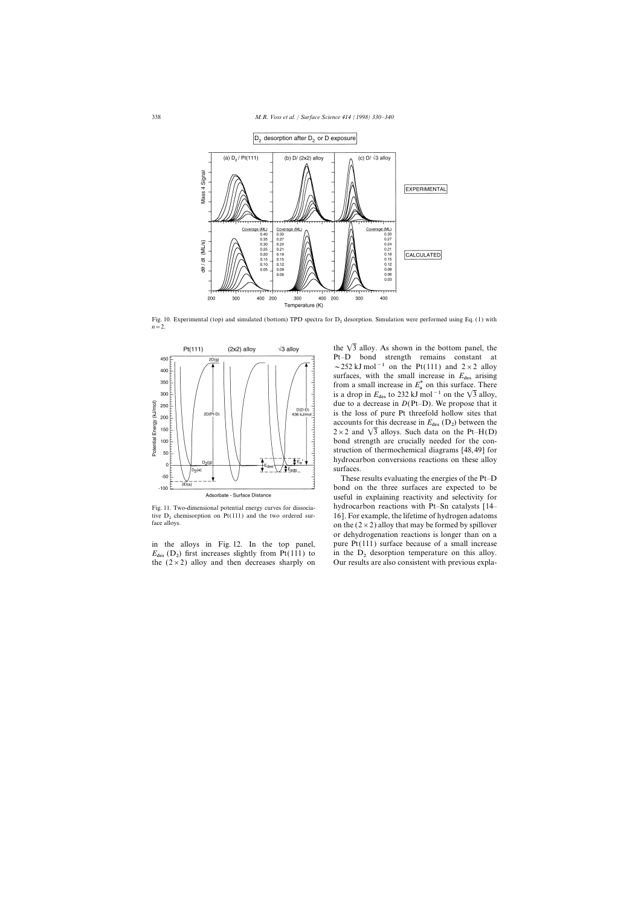

Fig. 10. Experimental (top) and simulated (bottom) TPD spectra for  $D<sub>2</sub>$  desorption. Simulation were performed using Eq. (1) with  $n=2$ .



 $E_{\text{des}}$  (D<sub>2</sub>) first increases slightly from Pt(111) to the  $(2\times 2)$  alloy and then decreases sharply on

the  $\sqrt{3}$  alloy. As shown in the bottom panel, the Pt–D bond strength remains constant at ~252 kJ mol<sup>-1</sup> on the Pt(111) and  $2 \times 2$  alloy surfaces, with the small increase in  $E_{\text{des}}$  arising from a small increase in  $E^*$  on this surface. There is a drop in  $E_{\text{des}}$  to 232 kJ mol<sup>-1</sup> on the  $\sqrt{3}$  alloy, due to a decrease in *D*(Pt–D). We propose that it is the loss of pure Pt threefold hollow sites that accounts for this decrease in  $E_{\text{des}}(\mathbf{D}_2)$  between the  $2 \times 2$  and  $\sqrt{3}$  alloys. Such data on the Pt–H(D) bond strength are crucially needed for the construction of thermochemical diagrams [48,49] for hydrocarbon conversions reactions on these alloy surfaces.

These results evaluating the energies of the Pt–D bond on the three surfaces are expected to be useful in explaining reactivity and selectivity for Fig. 11. Two-dimensional potential energy curves for dissocia- hydrocarbon reactions with Pt–Sn catalysts [14– tive D<sub>2</sub> chemisorption on Pt(111) and the two ordered sur-<br>face alloys.<br>on the  $(2 \times 2)$  alloy that may be formed by spillover on the ( $2 \times 2$ ) alloy that may be formed by spillover or dehydrogenation reactions is longer than on a in the alloys in Fig. 12. In the top panel, pure  $Pt(111)$  surface because of a small increase in the  $D_2$  desorption temperature on this alloy.<br>Our results are also consistent with previous expla-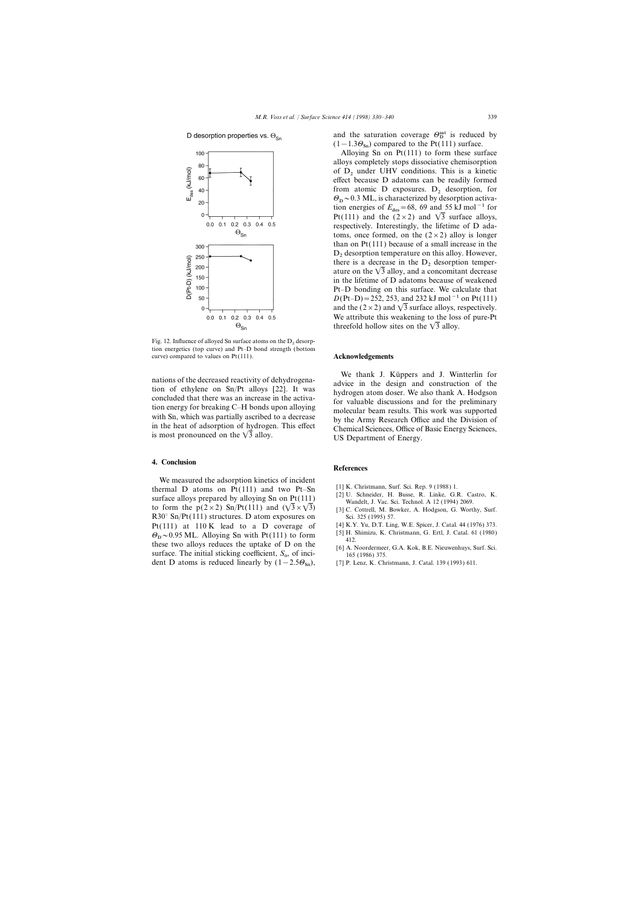## D desorption properties vs.  $\Theta_{\scriptstyle\mathsf{S}n}$



Fig. 12. Influence of alloyed Sn surface atoms on the  $D<sub>2</sub>$  desorption energetics (top curve) and Pt–D bond strength (bottom curve) compared to values on Pt(111). **Acknowledgements** 

## **4. Conclusion**

We measured the adsorption kinetics of incident thermal D atoms on  $\Pr(111)$  and two  $\Pr$ -Sn [1] K. Christmann, Surf. Sci. Rep. 9 (1988) 1.<br>
surface alloys prepared by alloying Sn on  $\Pr(111)$  [2] U. Schneider, H. Busse, R. Linke, G.R. Castro, K.<br>
to form the  $p(2\times2)$  $R30^\circ$  Sn/Pt(111) structures. D atom exposures on Sci. 325 (1995) 57. Pt(111) at 110 K lead to a D coverage of [4] K.Y. Yu, D.T. Ling, W.E. Spicer, J. Catal. 44 (1976) 373.<br>  $\Theta \approx 0.95 \text{ MI}$  Alloying Sn with Pt(111) to form [5] H. Shimizu, K. Christmann, G. Ertl, J. Catal. 61 (1980)  $\Theta_{\rm D}$  ~ 0.95 ML. Alloying Sn with Pt(111) to form [5] H. these two alloys reduces the uptake of D on the  $\begin{array}{c} \text{412.} \\ \text{61 A. Noordermeer, G.A. Kok, B.E. Nieuwenhuys, Surf. Sci.} \\ \text{465 (1986) 375.} \\ \text{467 D atoms is reduced linearly by } (1-2.5\Theta_{\text{sn}}), \text{471 P. Lenz, K. Christiann, J. Catal. 139 (1993) 611.} \end{array}$ dent D atoms is reduced linearly by  $(1-2.5\Theta_{\text{Sn}})$ ,

and the saturation coverage  $\Theta_{\text{D}}^{\text{sat}}$  is reduced by  $(1-1.3\Theta_{\text{Sn}})$  compared to the Pt(111) surface.

Alloying Sn on Pt(111) to form these surface alloys completely stops dissociative chemisorption of  $D_2$  under UHV conditions. This is a kinetic effect because D adatoms can be readily formed from atomic  $D$  exposures.  $D<sub>2</sub>$  desorption, for  $\Theta_{\rm p}$  ~ 0.3 ML, is characterized by desorption activa-<br>tion aparaise of  $F = 68, 60,$  and 55 kJ mal  $^{-1}$  for tion energies of  $E_{des}=68$ , 69 and 55 kJ mol<sup>-1</sup> for Pt(111) and the  $(2 \times 2)$  and  $\sqrt{3}$  surface alloys, respectively. Interestingly, the lifetime of D adatoms, once formed, on the  $(2 \times 2)$  alloy is longer than on Pt(111) because of a small increase in the  $D_2$  desorption temperature on this alloy. However, there is a decrease in the  $D_2$  desorption temperature on the  $\sqrt{3}$  alloy, and a concomitant decrease in the lifetime of D adatoms because of weakened Pt–D bonding on this surface. We calculate that  $D(Pt-D)=252, 253,$  and 232 kJ mol<sup>-1</sup> on Pt(111) and the ( $2 \times 2$ ) and  $\sqrt{3}$  surface alloys, respectively. We attribute this weakening to the loss of pure-Pt threefold hollow sites on the  $\sqrt{3}$  alloy.

We thank J. Küppers and J. Wintterlin for<br>tion of ethylene on Sn/Pt alloys [22]. It was<br>concluded that there was an increase in the activa-<br>tion energy for breaking C–H bonds upon alloying<br>with Sn, which was partially ascr with Sn, which was partially ascribed to a decrease<br>in the Army Research Office and the Division of<br>in the heat of adsorption of hydrogen. This effect<br>is most pronounced on the  $\sqrt{3}$  alloy.<br>US Department of Energy.

## **References**

- 
- 
- 
- 
- 
- 165 (1986) 375.
-